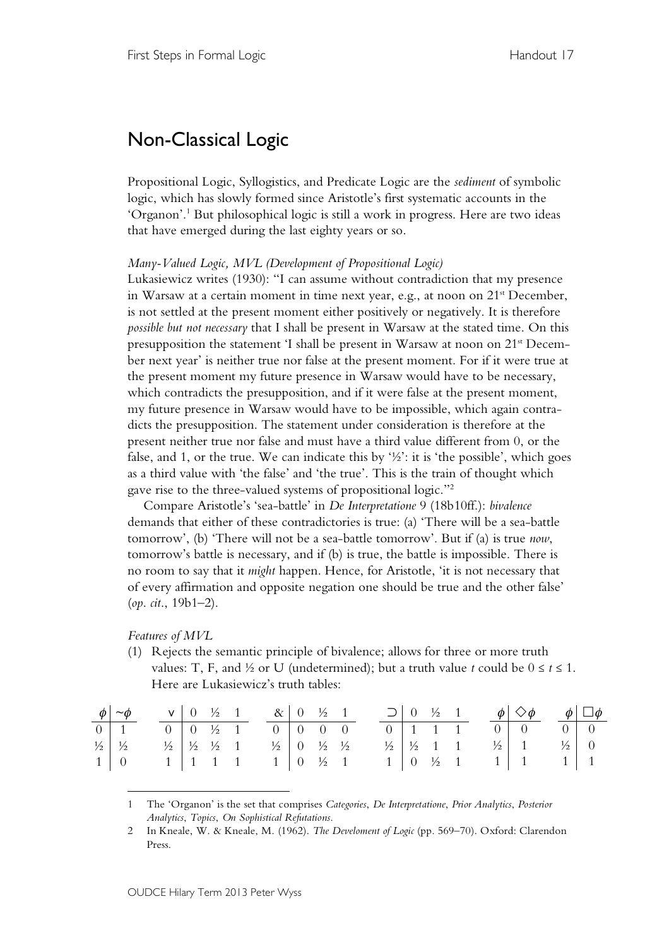## Non-Classical Logic

Propositional Logic, Syllogistics, and Predicate Logic are the *sediment* of symbolic logic, which has slowly formed since Aristotle's first systematic accounts in the 'Organon'.1 But philosophical logic is still a work in progress. Here are two ideas that have emerged during the last eighty years or so.

*Many-Valued Logic, MVL (Development of Propositional Logic)*

Lukasiewicz writes (1930): "I can assume without contradiction that my presence in Warsaw at a certain moment in time next year, e.g., at noon on 21<sup>st</sup> December, is not settled at the present moment either positively or negatively. It is therefore *possible but not necessary* that I shall be present in Warsaw at the stated time. On this presupposition the statement 'I shall be present in Warsaw at noon on 21<sup>st</sup> December next year' is neither true nor false at the present moment. For if it were true at the present moment my future presence in Warsaw would have to be necessary, which contradicts the presupposition, and if it were false at the present moment, my future presence in Warsaw would have to be impossible, which again contradicts the presupposition. The statement under consideration is therefore at the present neither true nor false and must have a third value different from 0, or the false, and 1, or the true. We can indicate this by  $\frac{1}{2}$ : it is 'the possible', which goes as a third value with 'the false' and 'the true'. This is the train of thought which gave rise to the three-valued systems of propositional logic."2

Compare Aristotle's 'sea-battle' in *De Interpretatione* 9 (18b10ff.): *bivalence* demands that either of these contradictories is true: (a) 'There will be a sea-battle tomorrow', (b) 'There will not be a sea-battle tomorrow'. But if (a) is true *now*, tomorrow's battle is necessary, and if (b) is true, the battle is impossible. There is no room to say that it *might* happen. Hence, for Aristotle, 'it is not necessary that of every affirmation and opposite negation one should be true and the other false' (*op*. *cit*., 19b1–2).

*Features of MVL*

 $\overline{a}$ 

(1) Rejects the semantic principle of bivalence; allows for three or more truth values: T, F, and ½ or U (undetermined); but a truth value *t* could be  $0 \le t \le 1$ . Here are Lukasiewicz's truth tables:

|  | $\phi$   $\sim \phi$   $\sqrt{0}$   $\frac{1}{2}$   $\sqrt{2}$   $\sqrt{0}$   $\frac{1}{2}$   $\sqrt{0}$   $\frac{1}{2}$   $\sqrt{0}$   $\frac{1}{2}$   $\sqrt{0}$   $\frac{1}{2}$   $\sqrt{0}$   $\frac{1}{2}$   $\sqrt{0}$   $\frac{1}{2}$   $\sqrt{0}$   $\frac{1}{2}$   $\sqrt{0}$   $\frac{1}{2}$ |  |  |  |  |  |  |  |  | $\Box$ 0 ½ 1 $\phi$ $\diamondsuit \phi$ $\phi$ $\Box \phi$                      |  |  |
|--|--------------------------------------------------------------------------------------------------------------------------------------------------------------------------------------------------------------------------------------------------------------------------------------------------------|--|--|--|--|--|--|--|--|---------------------------------------------------------------------------------|--|--|
|  |                                                                                                                                                                                                                                                                                                        |  |  |  |  |  |  |  |  |                                                                                 |  |  |
|  | $\frac{1}{2}$ $\frac{1}{2}$ $\frac{1}{2}$ $\frac{1}{2}$ $\frac{1}{2}$ $\frac{1}{2}$ $\frac{1}{2}$ $\frac{1}{2}$ $\frac{1}{2}$                                                                                                                                                                          |  |  |  |  |  |  |  |  | $\frac{1}{2}$ $\frac{1}{2}$ 1 1 $\frac{1}{2}$ 1 $\frac{1}{2}$ 1 $\frac{1}{2}$ 0 |  |  |
|  | $1 \mid 0 \qquad 1 \mid 1 \quad 1 \quad 1 \qquad 1 \mid 0 \quad \frac{1}{2} \quad 1$                                                                                                                                                                                                                   |  |  |  |  |  |  |  |  | $1 \mid 0 \quad \frac{1}{2} \quad 1 \quad 1 \mid 1 \quad 1 \mid 1$              |  |  |

<sup>1</sup> The 'Organon' is the set that comprises *Categories*, *De Interpretatione*, *Prior Analytics*, *Posterior Analytics*, *Topics*, *On Sophistical Refutations*.

<sup>2</sup> In Kneale, W. & Kneale, M. (1962). *The Develoment of Logic* (pp. 569–70). Oxford: Clarendon Press.